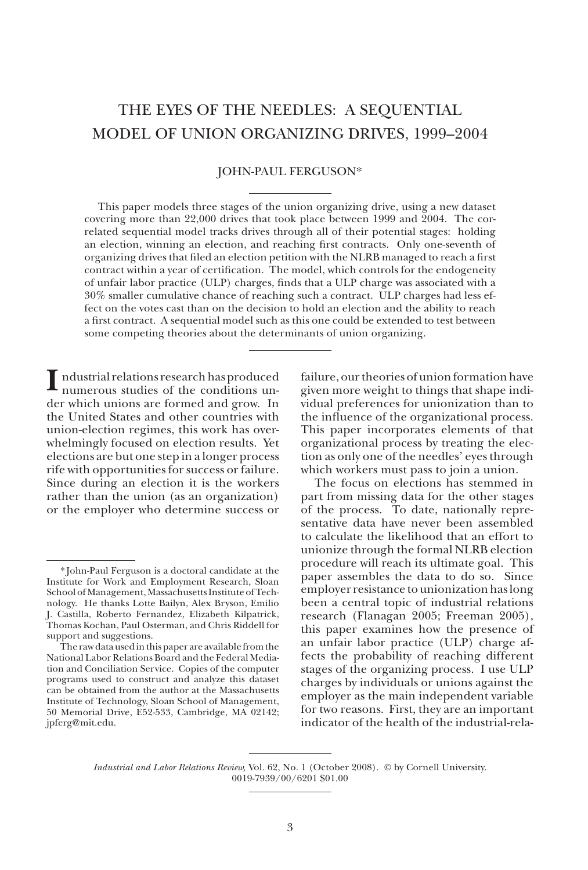# THE EYES OF THE NEEDLES: A SEQUENTIAL MODEL OF UNION ORGANIZING DRIVES, 1999–2004

## JOHN-PAUL FERGUSON\*

This paper models three stages of the union organizing drive, using a new dataset covering more than 22,000 drives that took place between 1999 and 2004. The correlated sequential model tracks drives through all of their potential stages: holding an election, winning an election, and reaching first contracts. Only one-seventh of organizing drives that filed an election petition with the NLRB managed to reach a first contract within a year of certification. The model, which controls for the endogeneity of unfair labor practice (ULP) charges, finds that a ULP charge was associated with a 30% smaller cumulative chance of reaching such a contract. ULP charges had less effect on the votes cast than on the decision to hold an election and the ability to reach a first contract. A sequential model such as this one could be extended to test between some competing theories about the determinants of union organizing.

**I** ndustrial relations research has produced numerous studies of the conditions under which unions are formed and grow. In the United States and other countries with union-election regimes, this work has overwhelmingly focused on election results. Yet elections are but one step in a longer process rife with opportunities for success or failure. Since during an election it is the workers rather than the union (as an organization) or the employer who determine success or

failure, our theories of union formation have given more weight to things that shape individual preferences for unionization than to the influence of the organizational process. This paper incorporates elements of that organizational process by treating the election as only one of the needles' eyes through which workers must pass to join a union.

The focus on elections has stemmed in part from missing data for the other stages of the process. To date, nationally representative data have never been assembled to calculate the likelihood that an effort to unionize through the formal NLRB election procedure will reach its ultimate goal. This paper assembles the data to do so. Since employer resistance to unionization has long been a central topic of industrial relations research (Flanagan 2005; Freeman 2005), this paper examines how the presence of an unfair labor practice (ULP) charge affects the probability of reaching different stages of the organizing process. I use ULP charges by individuals or unions against the employer as the main independent variable for two reasons. First, they are an important indicator of the health of the industrial-rela-

*Industrial and Labor Relations Review,* Vol. 62, No. 1 (October 2008). © by Cornell University. 0019-7939/00/6201 \$01.00

<sup>\*</sup> John-Paul Ferguson is a doctoral candidate at the Institute for Work and Employment Research, Sloan School of Management, Massachusetts Institute of Technology. He thanks Lotte Bailyn, Alex Bryson, Emilio J. Castilla, Roberto Fernandez, Elizabeth Kilpatrick, Thomas Kochan, Paul Osterman, and Chris Riddell for support and suggestions.

The raw data used in this paper are available from the National Labor Relations Board and the Federal Mediation and Conciliation Service. Copies of the computer programs used to construct and analyze this dataset can be obtained from the author at the Massachusetts Institute of Technology, Sloan School of Management, 50 Memorial Drive, E52-533, Cambridge, MA 02142; jpferg@mit.edu.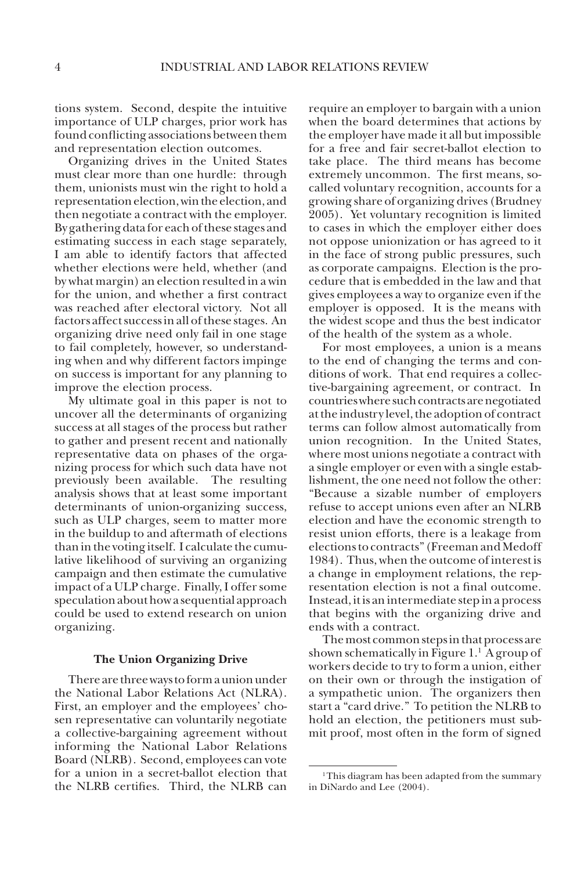tions system. Second, despite the intuitive importance of ULP charges, prior work has found conflicting associations between them and representation election outcomes.

Organizing drives in the United States must clear more than one hurdle: through them, unionists must win the right to hold a representation election, win the election, and then negotiate a contract with the employer. By gathering data for each of these stages and estimating success in each stage separately, I am able to identify factors that affected whether elections were held, whether (and by what margin) an election resulted in a win for the union, and whether a first contract was reached after electoral victory. Not all factors affect success in all of these stages. An organizing drive need only fail in one stage to fail completely, however, so understanding when and why different factors impinge on success is important for any planning to improve the election process.

My ultimate goal in this paper is not to uncover all the determinants of organizing success at all stages of the process but rather to gather and present recent and nationally representative data on phases of the organizing process for which such data have not previously been available. The resulting analysis shows that at least some important determinants of union-organizing success, such as ULP charges, seem to matter more in the buildup to and aftermath of elections than in the voting itself. I calculate the cumulative likelihood of surviving an organizing campaign and then estimate the cumulative impact of a ULP charge. Finally, I offer some speculation about how a sequential approach could be used to extend research on union organizing.

## **The Union Organizing Drive**

There are three ways to form a union under the National Labor Relations Act (NLRA). First, an employer and the employees' chosen representative can voluntarily negotiate a collective-bargaining agreement without informing the National Labor Relations Board (NLRB). Second, employees can vote for a union in a secret-ballot election that the NLRB certifies. Third, the NLRB can

require an employer to bargain with a union when the board determines that actions by the employer have made it all but impossible for a free and fair secret-ballot election to take place. The third means has become extremely uncommon. The first means, socalled voluntary recognition, accounts for a growing share of organizing drives (Brudney 2005). Yet voluntary recognition is limited to cases in which the employer either does not oppose unionization or has agreed to it in the face of strong public pressures, such as corporate campaigns. Election is the procedure that is embedded in the law and that gives employees a way to organize even if the employer is opposed. It is the means with the widest scope and thus the best indicator of the health of the system as a whole.

For most employees, a union is a means to the end of changing the terms and conditions of work. That end requires a collective-bargaining agreement, or contract. In countries where such contracts are negotiated at the industry level, the adoption of contract terms can follow almost automatically from union recognition. In the United States, where most unions negotiate a contract with a single employer or even with a single establishment, the one need not follow the other: "Because a sizable number of employers refuse to accept unions even after an NLRB election and have the economic strength to resist union efforts, there is a leakage from elections to contracts" (Freeman and Medoff 1984). Thus, when the outcome of interest is a change in employment relations, the representation election is not a final outcome. Instead, it is an intermediate step in a process that begins with the organizing drive and ends with a contract.

The most common steps in that process are shown schematically in Figure 1.1 A group of workers decide to try to form a union, either on their own or through the instigation of a sympathetic union. The organizers then start a "card drive." To petition the NLRB to hold an election, the petitioners must submit proof, most often in the form of signed

<sup>&</sup>lt;sup>1</sup>This diagram has been adapted from the summary in DiNardo and Lee (2004).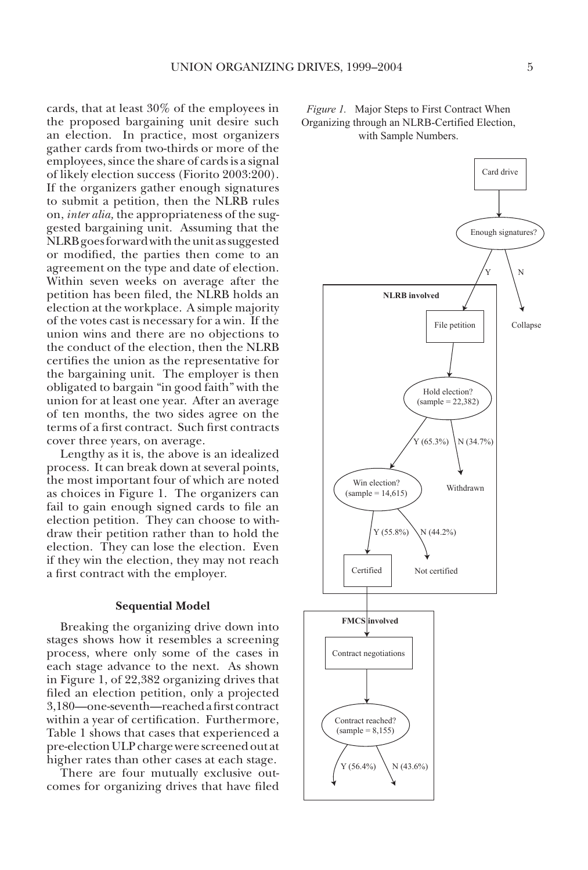cards, that at least 30% of the employees in the proposed bargaining unit desire such an election. In practice, most organizers gather cards from two-thirds or more of the employees, since the share of cards is a signal of likely election success (Fiorito 2003:200). If the organizers gather enough signatures to submit a petition, then the NLRB rules on, *inter alia,* the appropriateness of the suggested bargaining unit. Assuming that the NLRB goes forward with the unit as suggested or modified, the parties then come to an agreement on the type and date of election. Within seven weeks on average after the petition has been filed, the NLRB holds an election at the workplace. A simple majority of the votes cast is necessary for a win. If the union wins and there are no objections to the conduct of the election, then the NLRB certifies the union as the representative for the bargaining unit. The employer is then obligated to bargain "in good faith" with the union for at least one year. After an average of ten months, the two sides agree on the terms of a first contract. Such first contracts cover three years, on average.

Lengthy as it is, the above is an idealized process. It can break down at several points, the most important four of which are noted as choices in Figure 1. The organizers can fail to gain enough signed cards to file an election petition. They can choose to withdraw their petition rather than to hold the election. They can lose the election. Even if they win the election, they may not reach a first contract with the employer.

#### **Sequential Model**

Breaking the organizing drive down into stages shows how it resembles a screening process, where only some of the cases in each stage advance to the next. As shown in Figure 1, of 22,382 organizing drives that filed an election petition, only a projected 3,180—one-seventh—reached a first contract within a year of certification. Furthermore, Table 1 shows that cases that experienced a pre-election ULP charge were screened out at higher rates than other cases at each stage.

There are four mutually exclusive outcomes for organizing drives that have filed



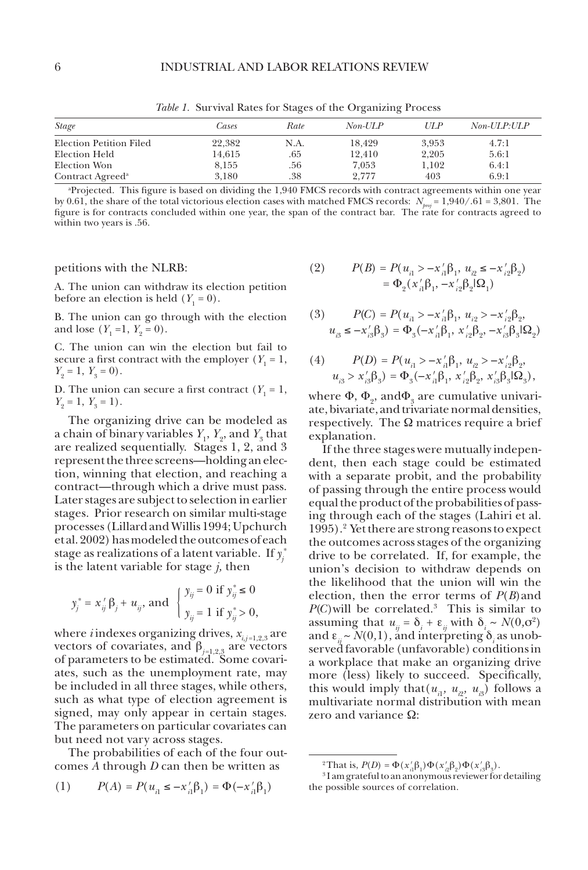*Table 1.* Survival Rates for Stages of the Organizing Process

| <i>Stage</i>                 | Cases  | Rate | $Non-ULP$ | UL P  | $Non-ULP: ULP$ |
|------------------------------|--------|------|-----------|-------|----------------|
| Election Petition Filed      | 22.382 | N.A. | 18.429    | 3.953 | 4.7:1          |
| Election Held                | 14.615 | .65  | 12.410    | 2,205 | 5.6:1          |
| Election Won                 | 8.155  | .56  | 7.053     | 1.102 | 6.4:1          |
| Contract Agreed <sup>a</sup> | 3.180  | .38  | 2.777     | 403   | 6.9:1          |

a Projected. This figure is based on dividing the 1,940 FMCS records with contract agreements within one year by 0.61, the share of the total victorious election cases with matched FMCS records: *Nproj* = 1,940/.61 = 3,801. The figure is for contracts concluded within one year, the span of the contract bar. The rate for contracts agreed to within two years is .56.

petitions with the NLRB:

A. The union can withdraw its election petition before an election is held  $(Y_1 = 0)$ .

B. The union can go through with the election and lose  $(Y_1 = 1, Y_2 = 0)$ .

C. The union can win the election but fail to secure a first contract with the employer  $(Y_1 = 1,$  $Y_2 = 1, Y_3 = 0$ .

D. The union can secure a first contract  $(Y_1 = 1,$  $Y_2 = 1, Y_3 = 1$ .

The organizing drive can be modeled as a chain of binary variables  $Y_1$ ,  $Y_2$ , and  $Y_3$  that are realized sequentially. Stages 1, 2, and 3 represent the three screens—holding an election, winning that election, and reaching a contract—through which a drive must pass. Later stages are subject to selection in earlier stages. Prior research on similar multi-stage processes (Lillard and Willis 1994; Upchurch et al. 2002) has modeled the outcomes of each stage as realizations of a latent variable. If  $y_j^*$ is the latent variable for stage *j,* then

$$
y_j^* = x_{ij}' \beta_j + u_{ij}
$$
, and  $\begin{cases} y_{ij} = 0 \text{ if } y_{ij}^* \le 0 \\ y_{ij} = 1 \text{ if } y_{ij}^* > 0, \end{cases}$ 

where *i* indexes organizing drives,  $x_{i,j=1,2,3}$  are vectors of covariates, and  $\beta_{j=1,2,3}$  are vectors of parameters to be estimated. Some covariates, such as the unemployment rate, may be included in all three stages, while others, such as what type of election agreement is signed, may only appear in certain stages. The parameters on particular covariates can but need not vary across stages.

The probabilities of each of the four outcomes *A* through *D* can then be written as

(1) 
$$
P(A) = P(u_{i1} \le -x'_{i1} \beta_1) = \Phi(-x'_{i1} \beta_1)
$$

(2) 
$$
P(B) = P(u_{i1} > -x'_{i1}\beta_1, u_{i2} \le -x'_{i2}\beta_2)
$$

$$
= \Phi_2(x'_{i1}\beta_1, -x'_{i2}\beta_2\beta_1)
$$

(3) 
$$
P(C) = P(u_{i1} > -\alpha'_{i1}\beta_1, u_{i2} > -\alpha'_{i2}\beta_2, u_{i3} \le -\alpha'_{i3}\beta_3) = \Phi_3(-\alpha'_{i1}\beta_1, \alpha'_{i2}\beta_2, -\alpha'_{i3}\beta_3|\Omega_2)
$$

(4) 
$$
P(D) = P(u_{i1} > -x'_{i1}\beta_1, u_{i2} > -x'_{i2}\beta_2, u_{i3} > x'_{i3}\beta_3) = \Phi_3(-x'_{i1}\beta_1, x'_{i2}\beta_2, x'_{i3}\beta_3|\Omega_3),
$$

where  $\Phi$ ,  $\Phi$ <sub>2</sub>, and $\Phi$ <sub>3</sub> are cumulative univariate, bivariate, and trivariate normal densities, respectively. The  $\Omega$  matrices require a brief explanation.

If the three stages were mutually independent, then each stage could be estimated with a separate probit, and the probability of passing through the entire process would equal the product of the probabilities of passing through each of the stages (Lahiri et al. 1995).2 Yet there are strong reasons to expect the outcomes across stages of the organizing drive to be correlated. If, for example, the union's decision to withdraw depends on the likelihood that the union will win the election, then the error terms of *P*(*B*)and  $P(C)$  will be correlated.<sup>3</sup> This is similar to assuming that  $u_{ij} = \delta_i + \varepsilon_{ij}$  with  $\delta_i \sim N(0, \sigma^2)$ and  $\varepsilon_{ii} \sim N(0,1)$ , and interpreting  $\delta_i$  as unobserved favorable (unfavorable) conditions in a workplace that make an organizing drive more (less) likely to succeed. Specifically, this would imply that  $(u_{i1}, u_{i2}, u_{i3})$  follows a multivariate normal distribution with mean zero and variance  $\Omega$ :

<sup>&</sup>lt;sup>2</sup>That is,  $P(D) = \Phi(x'_{i1}\beta_1)\Phi(x'_{i2}\beta_2)\Phi(x'_{i3}\beta_3)$ .

<sup>3</sup> I am grateful to an anonymous reviewer for detailing the possible sources of correlation.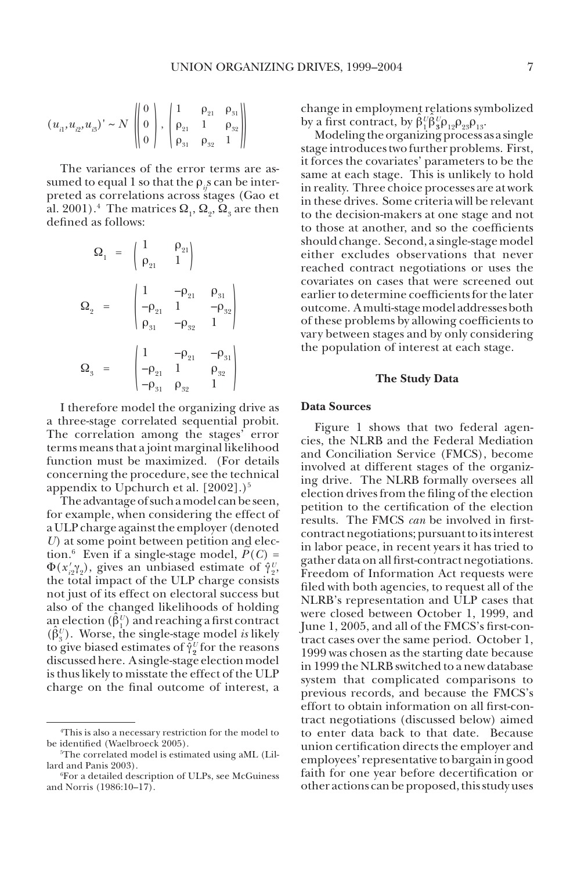$$
\overline{a}
$$

$$
(u_{i1}, u_{i2}, u_{i3})' \sim N \begin{pmatrix} 0 \\ 0 \\ 0 \end{pmatrix}, \begin{pmatrix} 1 & \rho_{21} & \rho_{31} \\ \rho_{21} & 1 & \rho_{32} \\ \rho_{31} & \rho_{32} & 1 \end{pmatrix}
$$

The variances of the error terms are assumed to equal 1 so that the  $\rho$ <sub>i</sub>s can be interpreted as correlations across stages (Gao et al. 2001).<sup>4</sup> The matrices  $\Omega_1$ ,  $\Omega_2$ ,  $\Omega_3$  are then defined as follows:

$$
\Omega_{1} = \begin{pmatrix} 1 & \rho_{21} \\ \rho_{21} & 1 \end{pmatrix}
$$

$$
\Omega_{2} = \begin{pmatrix} 1 & -\rho_{21} & \rho_{31} \\ -\rho_{21} & 1 & -\rho_{32} \\ \rho_{31} & -\rho_{32} & 1 \end{pmatrix}
$$

$$
\Omega_{3} = \begin{pmatrix} 1 & -\rho_{21} & -\rho_{31} \\ -\rho_{21} & 1 & \rho_{32} \\ -\rho_{31} & \rho_{32} & 1 \end{pmatrix}
$$

I therefore model the organizing drive as a three-stage correlated sequential probit. The correlation among the stages' error terms means that a joint marginal likelihood function must be maximized. (For details concerning the procedure, see the technical appendix to Upchurch et al.  $[2002]$ .)<sup>5</sup>

The advantage of such a model can be seen, for example, when considering the effect of a ULP charge against the employer (denoted *U*) at some point between petition and election.<sup>6</sup> Even if a single-stage model,  $P(C)$  =  $\Phi(x'_{i2}\gamma_2)$ , gives an unbiased estimate of  $\hat{\gamma}_2^U$ , the total impact of the ULP charge consists not just of its effect on electoral success but also of the changed likelihoods of holding an election  $(\hat{\beta}_1^U)$  and reaching a first contract  $(\hat{\beta}_3^U)$ . Worse, the single-stage model *is* likely to give biased estimates of  $\hat{\gamma}_2^U$  for the reasons discussed here. A single-stage election model is thus likely to misstate the effect of the ULP charge on the final outcome of interest, a

change in employment relations symbolized by a first contract, by  $\hat{\beta}_1^U \hat{\beta}_3^U \hat{\beta}_{12}^U \hat{\beta}_{23}^U$ 

Modeling the organizing process as a single stage introduces two further problems. First, it forces the covariates' parameters to be the same at each stage. This is unlikely to hold in reality. Three choice processes are at work in these drives. Some criteria will be relevant to the decision-makers at one stage and not to those at another, and so the coefficients should change. Second, a single-stage model either excludes observations that never reached contract negotiations or uses the covariates on cases that were screened out earlier to determine coefficients for the later outcome. A multi-stage model addresses both of these problems by allowing coefficients to vary between stages and by only considering the population of interest at each stage.

### **The Study Data**

## **Data Sources**

Figure 1 shows that two federal agencies, the NLRB and the Federal Mediation and Conciliation Service (FMCS), become involved at different stages of the organizing drive. The NLRB formally oversees all election drives from the filing of the election petition to the certification of the election results. The FMCS *can* be involved in firstcontract negotiations; pursuant to its interest in labor peace, in recent years it has tried to gather data on all first-contract negotiations. Freedom of Information Act requests were filed with both agencies, to request all of the NLRB's representation and ULP cases that were closed between October 1, 1999, and June 1, 2005, and all of the FMCS's first-contract cases over the same period. October 1, 1999 was chosen as the starting date because in 1999 the NLRB switched to a new database system that complicated comparisons to previous records, and because the FMCS's effort to obtain information on all first-contract negotiations (discussed below) aimed to enter data back to that date. Because union certification directs the employer and employees' representative to bargain in good faith for one year before decertification or other actions can be proposed, this study uses

<sup>4</sup> This is also a necessary restriction for the model to be identified (Waelbroeck 2005).

<sup>5</sup> The correlated model is estimated using aML (Lillard and Panis 2003).

<sup>6</sup> For a detailed description of ULPs, see McGuiness and Norris (1986:10–17).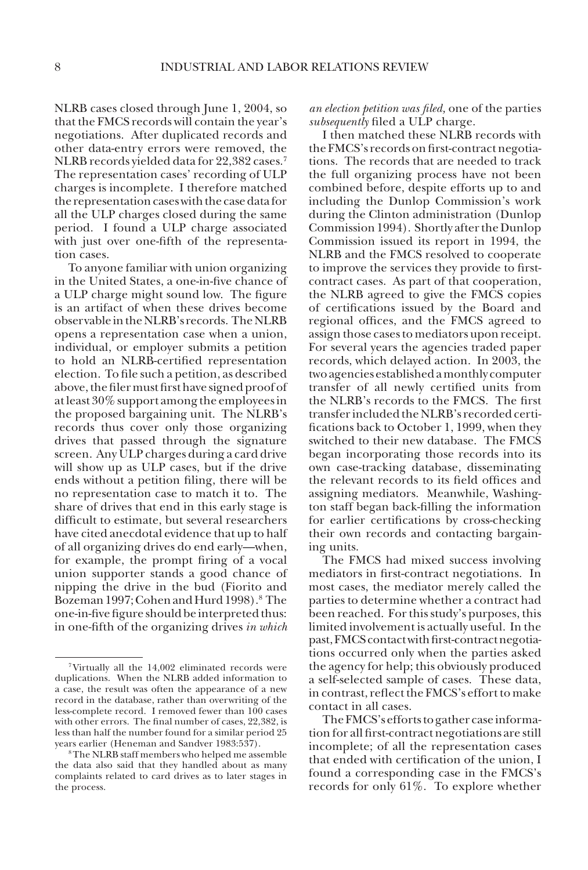NLRB cases closed through June 1, 2004, so that the FMCS records will contain the year's negotiations. After duplicated records and other data-entry errors were removed, the NLRB records yielded data for 22,382 cases.7 The representation cases' recording of ULP charges is incomplete. I therefore matched the representation cases with the case data for all the ULP charges closed during the same period. I found a ULP charge associated with just over one-fifth of the representation cases.

To anyone familiar with union organizing in the United States, a one-in-five chance of a ULP charge might sound low. The figure is an artifact of when these drives become observable in the NLRB's records. The NLRB opens a representation case when a union, individual, or employer submits a petition to hold an NLRB-certified representation election. To file such a petition, as described above, the filer must first have signed proof of at least 30% support among the employees in the proposed bargaining unit. The NLRB's records thus cover only those organizing drives that passed through the signature screen. Any ULP charges during a card drive will show up as ULP cases, but if the drive ends without a petition filing, there will be no representation case to match it to. The share of drives that end in this early stage is difficult to estimate, but several researchers have cited anecdotal evidence that up to half of all organizing drives do end early—when, for example, the prompt firing of a vocal union supporter stands a good chance of nipping the drive in the bud (Fiorito and Bozeman 1997; Cohen and Hurd 1998).<sup>8</sup> The one-in-five figure should be interpreted thus: in one-fifth of the organizing drives *in which* 

*an election petition was filed,* one of the parties *subsequently* filed a ULP charge.

I then matched these NLRB records with the FMCS's records on first-contract negotiations. The records that are needed to track the full organizing process have not been combined before, despite efforts up to and including the Dunlop Commission's work during the Clinton administration (Dunlop Commission 1994). Shortly after the Dunlop Commission issued its report in 1994, the NLRB and the FMCS resolved to cooperate to improve the services they provide to firstcontract cases. As part of that cooperation, the NLRB agreed to give the FMCS copies of certifications issued by the Board and regional offices, and the FMCS agreed to assign those cases to mediators upon receipt. For several years the agencies traded paper records, which delayed action. In 2003, the two agencies established a monthly computer transfer of all newly certified units from the NLRB's records to the FMCS. The first transfer included the NLRB's recorded certifications back to October 1, 1999, when they switched to their new database. The FMCS began incorporating those records into its own case-tracking database, disseminating the relevant records to its field offices and assigning mediators. Meanwhile, Washington staff began back-filling the information for earlier certifications by cross-checking their own records and contacting bargaining units.

The FMCS had mixed success involving mediators in first-contract negotiations. In most cases, the mediator merely called the parties to determine whether a contract had been reached. For this study's purposes, this limited involvement is actually useful. In the past, FMCS contact with first-contract negotiations occurred only when the parties asked the agency for help; this obviously produced a self-selected sample of cases. These data, in contrast, reflect the FMCS's effort to make contact in all cases.

The FMCS's efforts to gather case information for all first-contract negotiations are still incomplete; of all the representation cases that ended with certification of the union, I found a corresponding case in the FMCS's records for only 61%. To explore whether

<sup>7</sup>Virtually all the 14,002 eliminated records were duplications. When the NLRB added information to a case, the result was often the appearance of a new record in the database, rather than overwriting of the less-complete record. I removed fewer than 100 cases with other errors. The final number of cases, 22,382, is less than half the number found for a similar period 25 years earlier (Heneman and Sandver 1983:537).

<sup>8</sup>The NLRB staff members who helped me assemble the data also said that they handled about as many complaints related to card drives as to later stages in the process.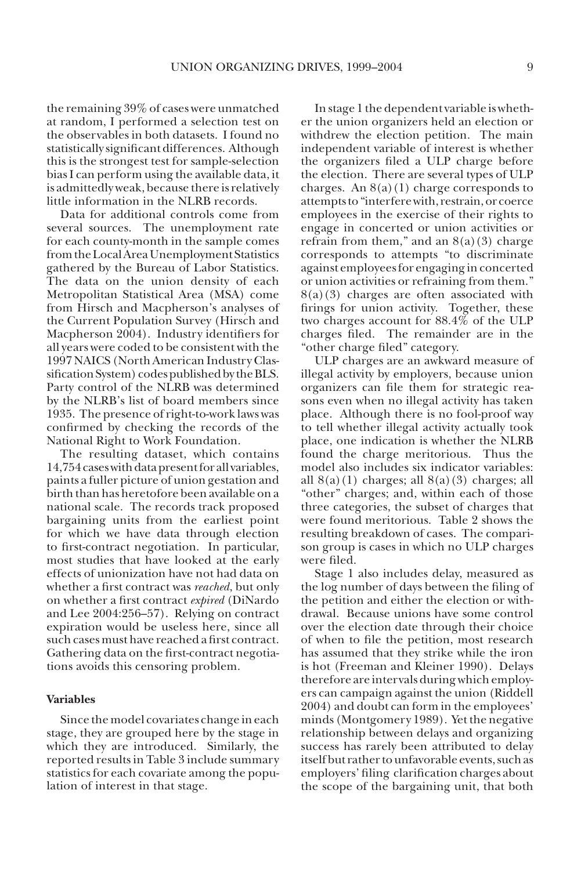the remaining 39% of cases were unmatched at random, I performed a selection test on the observables in both datasets. I found no statistically significant differences. Although this is the strongest test for sample-selection bias I can perform using the available data, it is admittedly weak, because there is relatively little information in the NLRB records.

Data for additional controls come from several sources. The unemployment rate for each county-month in the sample comes from the Local Area Unemployment Statistics gathered by the Bureau of Labor Statistics. The data on the union density of each Metropolitan Statistical Area (MSA) come from Hirsch and Macpherson's analyses of the Current Population Survey (Hirsch and Macpherson 2004). Industry identifiers for all years were coded to be consistent with the 1997 NAICS (North American Industry Classification System) codes published by the BLS. Party control of the NLRB was determined by the NLRB's list of board members since 1935. The presence of right-to-work laws was confirmed by checking the records of the National Right to Work Foundation.

The resulting dataset, which contains 14,754 cases with data present for all variables, paints a fuller picture of union gestation and birth than has heretofore been available on a national scale. The records track proposed bargaining units from the earliest point for which we have data through election to first-contract negotiation. In particular, most studies that have looked at the early effects of unionization have not had data on whether a first contract was *reached*, but only on whether a first contract *expired* (DiNardo and Lee 2004:256–57). Relying on contract expiration would be useless here, since all such cases must have reached a first contract. Gathering data on the first-contract negotiations avoids this censoring problem.

## **Variables**

Since the model covariates change in each stage, they are grouped here by the stage in which they are introduced. Similarly, the reported results in Table 3 include summary statistics for each covariate among the population of interest in that stage.

In stage 1 the dependent variable is whether the union organizers held an election or withdrew the election petition. The main independent variable of interest is whether the organizers filed a ULP charge before the election. There are several types of ULP charges. An  $8(a)(1)$  charge corresponds to attempts to "interfere with, restrain, or coerce employees in the exercise of their rights to engage in concerted or union activities or refrain from them," and an  $8(a)(3)$  charge corresponds to attempts "to discriminate against employees for engaging in concerted or union activities or refraining from them."  $8(a)(3)$  charges are often associated with firings for union activity. Together, these two charges account for 88.4% of the ULP charges filed. The remainder are in the "other charge filed" category.

ULP charges are an awkward measure of illegal activity by employers, because union organizers can file them for strategic reasons even when no illegal activity has taken place. Although there is no fool-proof way to tell whether illegal activity actually took place, one indication is whether the NLRB found the charge meritorious. Thus the model also includes six indicator variables: all  $8(a)(1)$  charges; all  $8(a)(3)$  charges; all "other" charges; and, within each of those three categories, the subset of charges that were found meritorious. Table 2 shows the resulting breakdown of cases. The comparison group is cases in which no ULP charges were filed.

Stage 1 also includes delay, measured as the log number of days between the filing of the petition and either the election or withdrawal. Because unions have some control over the election date through their choice of when to file the petition, most research has assumed that they strike while the iron is hot (Freeman and Kleiner 1990). Delays therefore are intervals during which employers can campaign against the union (Riddell 2004) and doubt can form in the employees' minds (Montgomery 1989). Yet the negative relationship between delays and organizing success has rarely been attributed to delay itself but rather to unfavorable events, such as employers' filing clarification charges about the scope of the bargaining unit, that both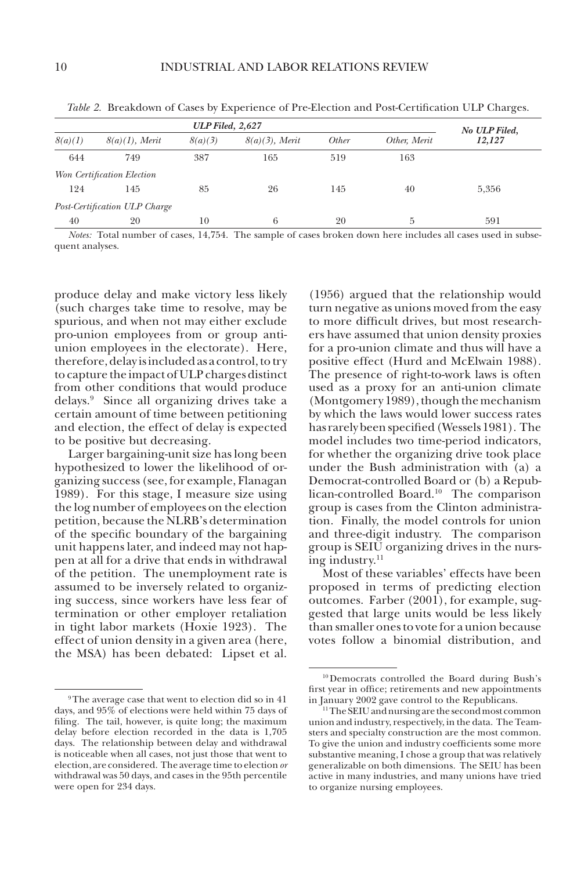| <b>ULP Filed, 2,627</b> |                               |         |                   |       |              | No ULP Filed, |
|-------------------------|-------------------------------|---------|-------------------|-------|--------------|---------------|
| 8(a)(1)                 | $8(a)(1)$ , Merit             | 8(a)(3) | $8(a)(3)$ , Merit | Other | Other, Merit | 12,127        |
| 644                     | 749                           | 387     | 165               | 519   | 163          |               |
|                         | Won Certification Election    |         |                   |       |              |               |
| 124                     | 145                           | 85      | 26                | 145   | 40           | 5,356         |
|                         | Post-Certification ULP Charge |         |                   |       |              |               |
| 40                      | 20                            | 10      | 6                 | 20    | 5            | 591           |

*Table 2.* Breakdown of Cases by Experience of Pre-Election and Post-Certification ULP Charges.

*Notes:* Total number of cases, 14,754. The sample of cases broken down here includes all cases used in subsequent analyses.

produce delay and make victory less likely (such charges take time to resolve, may be spurious, and when not may either exclude pro-union employees from or group antiunion employees in the electorate). Here, therefore, delay is included as a control, to try to capture the impact of ULP charges distinct from other conditions that would produce delays.9 Since all organizing drives take a certain amount of time between petitioning and election, the effect of delay is expected to be positive but decreasing.

Larger bargaining-unit size has long been hypothesized to lower the likelihood of organizing success (see, for example, Flanagan 1989). For this stage, I measure size using the log number of employees on the election petition, because the NLRB's determination of the specific boundary of the bargaining unit happens later, and indeed may not happen at all for a drive that ends in withdrawal of the petition. The unemployment rate is assumed to be inversely related to organizing success, since workers have less fear of termination or other employer retaliation in tight labor markets (Hoxie 1923). The effect of union density in a given area (here, the MSA) has been debated: Lipset et al.

(1956) argued that the relationship would turn negative as unions moved from the easy to more difficult drives, but most researchers have assumed that union density proxies for a pro-union climate and thus will have a positive effect (Hurd and McElwain 1988). The presence of right-to-work laws is often used as a proxy for an anti-union climate (Montgomery 1989), though the mechanism by which the laws would lower success rates has rarely been specified (Wessels 1981). The model includes two time-period indicators, for whether the organizing drive took place under the Bush administration with (a) a Democrat-controlled Board or (b) a Republican-controlled Board.10 The comparison group is cases from the Clinton administration. Finally, the model controls for union and three-digit industry. The comparison group is SEIU organizing drives in the nursing industry. $11$ 

Most of these variables' effects have been proposed in terms of predicting election outcomes. Farber (2001), for example, suggested that large units would be less likely than smaller ones to vote for a union because votes follow a binomial distribution, and

 $^{\rm 9}$  The average case that went to election did so in 41 days, and 95% of elections were held within 75 days of filing. The tail, however, is quite long; the maximum delay before election recorded in the data is 1,705 days. The relationship between delay and withdrawal is noticeable when all cases, not just those that went to election, are considered. The average time to election *or*  withdrawal was 50 days, and cases in the 95th percentile were open for 234 days.

<sup>10</sup>Democrats controlled the Board during Bush's first year in office; retirements and new appointments in January 2002 gave control to the Republicans.

<sup>11</sup>The SEIU and nursing are the second most common union and industry, respectively, in the data. The Teamsters and specialty construction are the most common. To give the union and industry coefficients some more substantive meaning, I chose a group that was relatively generalizable on both dimensions. The SEIU has been active in many industries, and many unions have tried to organize nursing employees.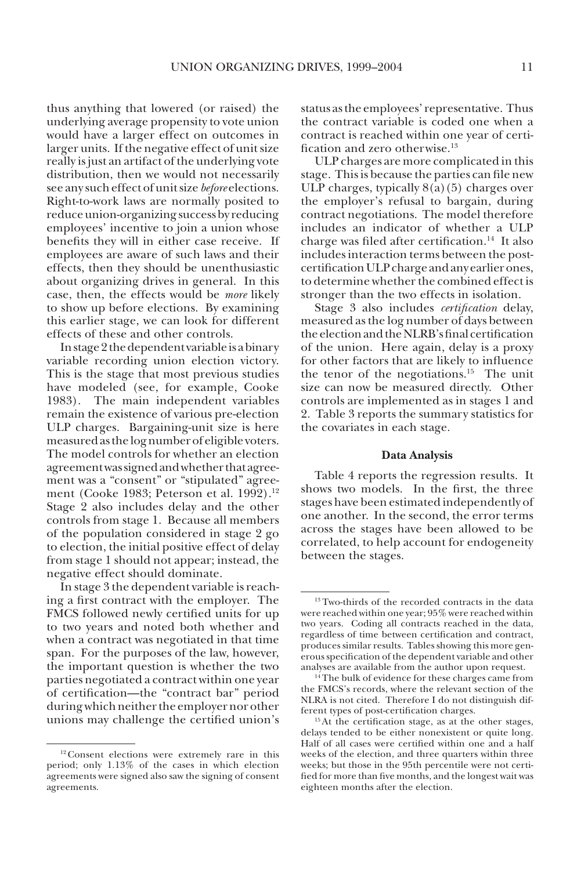thus anything that lowered (or raised) the underlying average propensity to vote union would have a larger effect on outcomes in larger units. If the negative effect of unit size really is just an artifact of the underlying vote distribution, then we would not necessarily see any such effect of unit size *before* elections. Right-to-work laws are normally posited to reduce union-organizing success by reducing employees' incentive to join a union whose benefits they will in either case receive. If employees are aware of such laws and their effects, then they should be unenthusiastic about organizing drives in general. In this case, then, the effects would be *more* likely to show up before elections. By examining this earlier stage, we can look for different effects of these and other controls.

In stage 2 the dependent variable is a binary variable recording union election victory. This is the stage that most previous studies have modeled (see, for example, Cooke 1983). The main independent variables remain the existence of various pre-election ULP charges. Bargaining-unit size is here measured as the log number of eligible voters. The model controls for whether an election agreement was signed and whether that agreement was a "consent" or "stipulated" agreement (Cooke 1983; Peterson et al. 1992).<sup>12</sup> Stage 2 also includes delay and the other controls from stage 1. Because all members of the population considered in stage 2 go to election, the initial positive effect of delay from stage 1 should not appear; instead, the negative effect should dominate.

In stage 3 the dependent variable is reaching a first contract with the employer. The FMCS followed newly certified units for up to two years and noted both whether and when a contract was negotiated in that time span. For the purposes of the law, however, the important question is whether the two parties negotiated a contract within one year of certification—the "contract bar" period during which neither the employer nor other unions may challenge the certified union's

<sup>12</sup> Consent elections were extremely rare in this period; only 1.13% of the cases in which election agreements were signed also saw the signing of consent agreements.

status as the employees' representative. Thus the contract variable is coded one when a contract is reached within one year of certification and zero otherwise.13

ULP charges are more complicated in this stage. This is because the parties can file new ULP charges, typically  $8(a)(5)$  charges over the employer's refusal to bargain, during contract negotiations. The model therefore includes an indicator of whether a ULP charge was filed after certification.14 It also includes interaction terms between the postcertification ULP charge and any earlier ones, to determine whether the combined effect is stronger than the two effects in isolation.

Stage 3 also includes *certification* delay, measured as the log number of days between the election and the NLRB's final certification of the union. Here again, delay is a proxy for other factors that are likely to influence the tenor of the negotiations.<sup>15</sup> The unit size can now be measured directly. Other controls are implemented as in stages 1 and 2. Table 3 reports the summary statistics for the covariates in each stage.

### **Data Analysis**

Table 4 reports the regression results. It shows two models. In the first, the three stages have been estimated independently of one another. In the second, the error terms across the stages have been allowed to be correlated, to help account for endogeneity between the stages.

<sup>&</sup>lt;sup>13</sup> Two-thirds of the recorded contracts in the data were reached within one year; 95% were reached within two years. Coding all contracts reached in the data, regardless of time between certification and contract, produces similar results. Tables showing this more generous specification of the dependent variable and other analyses are available from the author upon request.

<sup>&</sup>lt;sup>14</sup>The bulk of evidence for these charges came from the FMCS's records, where the relevant section of the NLRA is not cited. Therefore I do not distinguish different types of post-certification charges.

<sup>&</sup>lt;sup>15</sup>At the certification stage, as at the other stages, delays tended to be either nonexistent or quite long. Half of all cases were certified within one and a half weeks of the election, and three quarters within three weeks; but those in the 95th percentile were not certified for more than five months, and the longest wait was eighteen months after the election.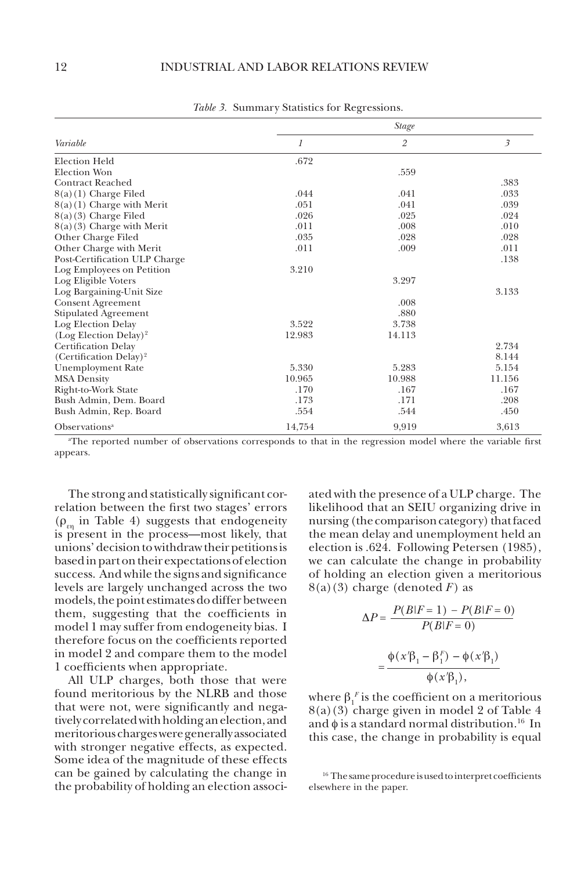|                                    | <b>Stage</b> |                |                |  |  |  |
|------------------------------------|--------------|----------------|----------------|--|--|--|
| Variable                           | 1            | $\overline{2}$ | $\mathfrak{Z}$ |  |  |  |
| Election Held                      | .672         |                |                |  |  |  |
| <b>Election Won</b>                |              | .559           |                |  |  |  |
| <b>Contract Reached</b>            |              |                | .383           |  |  |  |
| 8(a)(1) Charge Filed               | .044         | .041           | .033           |  |  |  |
| $8(a)(1)$ Charge with Merit        | .051         | .041           | .039           |  |  |  |
| $8(a)(3)$ Charge Filed             | .026         | .025           | .024           |  |  |  |
| $8(a)(3)$ Charge with Merit        | .011         | .008           | .010           |  |  |  |
| Other Charge Filed                 | .035         | .028           | .028           |  |  |  |
| Other Charge with Merit            | .011         | .009           | .011           |  |  |  |
| Post-Certification ULP Charge      |              |                | .138           |  |  |  |
| Log Employees on Petition          | 3.210        |                |                |  |  |  |
| Log Eligible Voters                |              | 3.297          |                |  |  |  |
| Log Bargaining-Unit Size           |              |                | 3.133          |  |  |  |
| <b>Consent Agreement</b>           |              | .008           |                |  |  |  |
| Stipulated Agreement               |              | .880           |                |  |  |  |
| Log Election Delay                 | 3.522        | 3.738          |                |  |  |  |
| $(Log Electron Delay)^2$           | 12.983       | 14.113         |                |  |  |  |
| Certification Delay                |              |                | 2.734          |  |  |  |
| (Certification Delay) <sup>2</sup> |              |                | 8.144          |  |  |  |
| <b>Unemployment Rate</b>           | 5.330        | 5.283          | 5.154          |  |  |  |
| <b>MSA Density</b>                 | 10.965       | 10.988         | 11.156         |  |  |  |
| Right-to-Work State                | .170         | .167           | .167           |  |  |  |
| Bush Admin, Dem. Board             | .173         | .171           | .208           |  |  |  |
| Bush Admin, Rep. Board             | .554         | .544           | .450           |  |  |  |
| Observations <sup>a</sup>          | 14,754       | 9,919          | 3,613          |  |  |  |

*Table 3.* Summary Statistics for Regressions.

a The reported number of observations corresponds to that in the regression model where the variable first appears.

The strong and statistically significant correlation between the first two stages' errors  $(\rho_{\rm m}$  in Table 4) suggests that endogeneity is present in the process—most likely, that unions' decision to withdraw their petitions is based in part on their expectations of election success. And while the signs and significance levels are largely unchanged across the two models, the point estimates do differ between them, suggesting that the coefficients in model 1 may suffer from endogeneity bias. I therefore focus on the coefficients reported in model 2 and compare them to the model 1 coefficients when appropriate.

All ULP charges, both those that were found meritorious by the NLRB and those that were not, were significantly and negatively correlated with holding an election, and meritorious charges were generally associated with stronger negative effects, as expected. Some idea of the magnitude of these effects can be gained by calculating the change in the probability of holding an election associated with the presence of a ULP charge. The likelihood that an SEIU organizing drive in nursing (the comparison category) that faced the mean delay and unemployment held an election is .624. Following Petersen (1985), we can calculate the change in probability of holding an election given a meritorious  $8(a)(3)$  charge (denoted *F*) as

$$
\Delta P = \frac{P(B|F=1) - P(B|F=0)}{P(B|F=0)}
$$

$$
= \frac{\Phi(x'\beta_1 - \beta_1^F) - \Phi(x'\beta_1)}{\Phi(x'\beta_1)},
$$

where  $\beta_1^F$  is the coefficient on a meritorious 8(a)(3) charge given in model 2 of Table 4 and  $\phi$  is a standard normal distribution.<sup>16</sup> In this case, the change in probability is equal

<sup>16</sup> The same procedure is used to interpret coefficients elsewhere in the paper.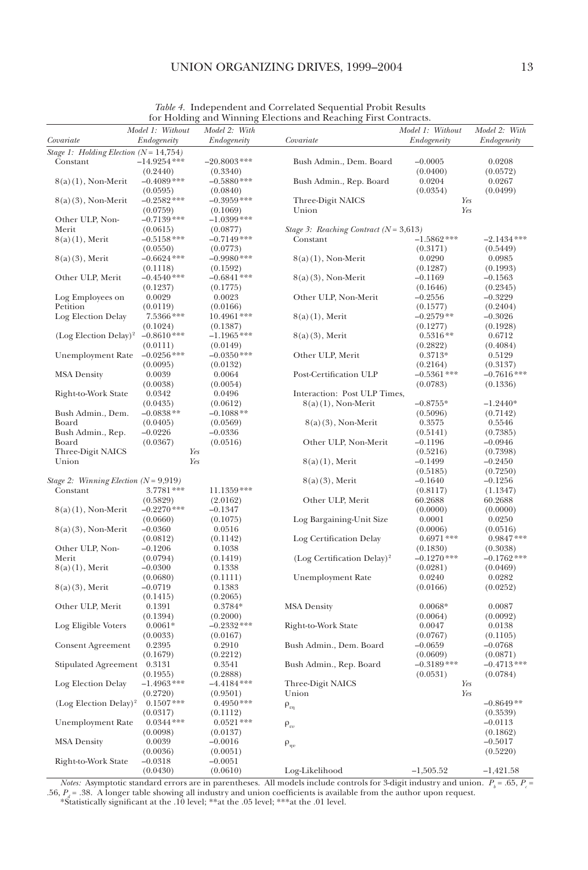# UNION ORGANIZING DRIVES, 1999-2004 13

|                                           |                                 |                              | for Froming and Willing Elections and Reaching Prist Contracts. |                                 |                              |
|-------------------------------------------|---------------------------------|------------------------------|-----------------------------------------------------------------|---------------------------------|------------------------------|
| Covariate                                 | Model 1: Without<br>Endogeneity | Model 2: With<br>Endogeneity | Covariate                                                       | Model 1: Without<br>Endogeneity | Model 2: With<br>Endogeneity |
| Stage 1: Holding Election $(N = 14, 754)$ |                                 |                              |                                                                 |                                 |                              |
| Constant                                  | $-14.9254***$                   | $-20.8003$ ***               | Bush Admin., Dem. Board                                         | $-0.0005$                       | 0.0208                       |
|                                           | (0.2440)                        | (0.3340)                     |                                                                 | (0.0400)                        | (0.0572)                     |
| $8(a)(1)$ , Non-Merit                     | $-0.4089$ ***                   | $-0.5880$ ***                | Bush Admin., Rep. Board                                         | 0.0204                          | 0.0267                       |
|                                           | (0.0595)                        | (0.0840)                     |                                                                 | (0.0354)                        | (0.0499)                     |
| $8(a)(3)$ , Non-Merit                     | $-0.2582$ ***                   | $-0.3959$ ***                | Three-Digit NAICS                                               | Yes                             |                              |
|                                           | (0.0759)                        | (0.1069)                     | Union                                                           | Yes                             |                              |
| Other ULP, Non-                           | $-0.7139***$                    | $-1.0399***$                 |                                                                 |                                 |                              |
| Merit                                     | (0.0615)                        | (0.0877)                     | Stage 3: Reaching Contract ( $N = 3,613$ )                      |                                 |                              |
| $8(a)(1)$ , Merit                         | $-0.5158***$                    | $-0.7149***$                 | Constant                                                        | $-1.5862$ ***                   | $-2.1434***$                 |
|                                           | (0.0550)                        | (0.0773)                     |                                                                 | (0.3171)                        | (0.5449)                     |
| $8(a)(3)$ , Merit                         | $-0.6624$ ***                   | $-0.9980***$                 | $8(a)(1)$ , Non-Merit                                           | 0.0290                          | 0.0985                       |
|                                           | (0.1118)                        | (0.1592)                     |                                                                 | (0.1287)                        | (0.1993)                     |
| Other ULP, Merit                          | $-0.4540**$                     | $-0.6841$ ***                | $8(a)(3)$ , Non-Merit                                           | $-0.1169$                       | $-0.1563$                    |
|                                           |                                 |                              |                                                                 | (0.1646)                        |                              |
|                                           | (0.1237)                        | (0.1775)                     |                                                                 |                                 | (0.2345)                     |
| Log Employees on                          | 0.0029                          | 0.0023                       | Other ULP, Non-Merit                                            | $-0.2556$                       | $-0.3229$                    |
| Petition                                  | (0.0119)                        | (0.0166)                     |                                                                 | (0.1577)                        | (0.2404)                     |
| Log Election Delay                        | $7.5366***$                     | 10.4961 ***                  | $8(a)(1)$ , Merit                                               | $-0.2579**$                     | $-0.3026$                    |
|                                           | (0.1024)                        | (0.1387)                     |                                                                 | (0.1277)                        | (0.1928)                     |
| $(Log Electron Delay)^2$                  | $-0.8610**$                     | $-1.1965$ ***                | $8(a)(3)$ , Merit                                               | $0.5316**$                      | 0.6712                       |
|                                           | (0.0111)                        | (0.0149)                     |                                                                 | (0.2822)                        | (0.4084)                     |
| Unemployment Rate                         | $-0.0256$ ***                   | $-0.0350$ ***                | Other ULP, Merit                                                | $0.3713*$                       | 0.5129                       |
|                                           | (0.0095)                        | (0.0132)                     |                                                                 | (0.2164)                        | (0.3137)                     |
| <b>MSA Density</b>                        | 0.0039                          | 0.0064                       | Post-Certification ULP                                          | $-0.5361$ ***                   | $-0.7616***$                 |
|                                           | (0.0038)                        | (0.0054)                     |                                                                 | (0.0783)                        | (0.1336)                     |
| Right-to-Work State                       | 0.0342                          | 0.0496                       | Interaction: Post ULP Times,                                    |                                 |                              |
|                                           | (0.0435)                        | (0.0612)                     | $8(a)(1)$ , Non-Merit                                           | $-0.8755*$                      | $-1.2440*$                   |
| Bush Admin., Dem.                         | $-0.0838**$                     | $-0.1088**$                  |                                                                 | (0.5096)                        | (0.7142)                     |
| Board                                     | (0.0405)                        | (0.0569)                     | $8(a)(3)$ , Non-Merit                                           | 0.3575                          | 0.5546                       |
| Bush Admin., Rep.                         | $-0.0226$                       | $-0.0336$                    |                                                                 | (0.5141)                        | (0.7385)                     |
| Board                                     | (0.0367)                        | (0.0516)                     | Other ULP, Non-Merit                                            | $-0.1196$                       | $-0.0946$                    |
| Three-Digit NAICS                         |                                 | Yes                          |                                                                 | (0.5216)                        | (0.7398)                     |
| Union                                     | Yes                             |                              | $8(a)(1)$ , Merit                                               | $-0.1499$                       | $-0.2450$                    |
|                                           |                                 |                              |                                                                 | (0.5185)                        | (0.7250)                     |
| Stage 2: Winning Election ( $N = 9.919$ ) |                                 |                              | $8(a)(3)$ , Merit                                               | $-0.1640$                       | $-0.1256$                    |
| Constant                                  | $3.7781***$                     | $11.1359***$                 |                                                                 | (0.8117)                        | (1.1347)                     |
|                                           | (0.5829)                        | (2.0162)                     | Other ULP, Merit                                                | 60.2688                         | 60.2688                      |
| $8(a)(1)$ , Non-Merit                     | $-0.2270$ ***                   | -0.1347                      |                                                                 | (0.0000)                        | (0.0000)                     |
|                                           | (0.0660)                        | (0.1075)                     | Log Bargaining-Unit Size                                        | 0.0001                          | 0.0250                       |
| $8(a)(3)$ , Non-Merit                     | $-0.0360$                       | 0.0516                       |                                                                 | (0.0006)                        | (0.0516)                     |
|                                           | (0.0812)                        | (0.1142)                     | Log Certification Delay                                         | $0.6971$ ***                    | $0.9847***$                  |
|                                           | $-0.1206$                       |                              |                                                                 |                                 |                              |
| Other ULP, Non-<br>Merit                  |                                 | 0.1038                       |                                                                 | (0.1830)<br>$-0.1270$ ***       | (0.3038)<br>$-0.1762$ ***    |
|                                           | (0.0794)                        | (0.1419)                     | (Log Certification Delay) <sup>2</sup>                          |                                 |                              |
| $8(a)(1)$ , Merit                         | $-0.0300$                       | 0.1338                       |                                                                 | (0.0281)                        | (0.0469)                     |
|                                           | (0.0680)                        | (0.1111)                     | <b>Unemployment Rate</b>                                        | 0.0240                          | 0.0282                       |
| $8(a)(3)$ , Merit                         | $-0.0719$                       | 0.1383                       |                                                                 | (0.0166)                        | (0.0252)                     |
|                                           | (0.1415)                        | (0.2065)                     |                                                                 |                                 |                              |
| Other ULP, Merit                          | 0.1391                          | $0.3784*$                    | <b>MSA Density</b>                                              | $0.0068*$                       | 0.0087                       |
|                                           | (0.1394)                        | (0.2000)                     |                                                                 | (0.0064)                        | (0.0092)                     |
| Log Eligible Voters                       | $0.0061*$                       | $-0.2332***$                 | Right-to-Work State                                             | 0.0047                          | 0.0138                       |
|                                           | (0.0033)                        | (0.0167)                     |                                                                 | (0.0767)                        | (0.1105)                     |
| Consent Agreement                         | 0.2395                          | 0.2910                       | Bush Admin., Dem. Board                                         | $-0.0659$                       | $-0.0768$                    |
|                                           | (0.1679)                        | (0.2212)                     |                                                                 | (0.0609)                        | (0.0871)                     |
| Stipulated Agreement 0.3131               |                                 | 0.3541                       | Bush Admin., Rep. Board                                         | $-0.3189$ ***                   | $-0.4713***$                 |
|                                           | (0.1955)                        | (0.2888)                     |                                                                 | (0.0531)                        | (0.0784)                     |
| Log Election Delay                        | $-1.4963$ ***                   | $-4.4184***$                 | Three-Digit NAICS                                               | Yes                             |                              |
|                                           | (0.2720)                        | (0.9501)                     | Union                                                           | Yes                             |                              |
| $(Log Electron Delay)^2$                  | $0.1507***$                     | $0.4950***$                  | $\rho_{\varepsilon\eta}$                                        |                                 | $-0.8649**$                  |
|                                           | (0.0317)                        | (0.1112)                     |                                                                 |                                 | (0.3539)                     |
| <b>Unemployment Rate</b>                  | $0.0344***$                     | $0.0521***$                  | $\rho_{\varepsilon\upsilon}$                                    |                                 | $-0.0113$                    |
|                                           | (0.0098)                        | (0.0137)                     |                                                                 |                                 | (0.1862)                     |
| <b>MSA Density</b>                        | 0.0039                          | $-0.0016$                    |                                                                 |                                 | $-0.5017$                    |
|                                           | (0.0036)                        | (0.0051)                     | $\rho_{\eta\nu}$                                                |                                 | (0.5220)                     |
| Right-to-Work State                       | $-0.0318$                       | $-0.0051$                    |                                                                 |                                 |                              |
|                                           | (0.0430)                        | (0.0610)                     | Log-Likelihood                                                  | $-1,505.52$                     | $-1,421.58$                  |
|                                           |                                 |                              |                                                                 |                                 |                              |

*Table 4.* Independent and Correlated Sequential Probit Results for Holding and Winning Elections and Reaching First Contracts.

*Notes:* Asymptotic standard errors are in parentheses. All models include controls for 3-digit industry and union.  $P_b = .65$ ,  $P_c =$ .56,  $P_d$  = .38. A longer table showing all industry and union coefficients is available from the author upon request.<br>\*Statistically significant at the .10 level; \*\*at the .05 level; \*\*\*at the .01 level.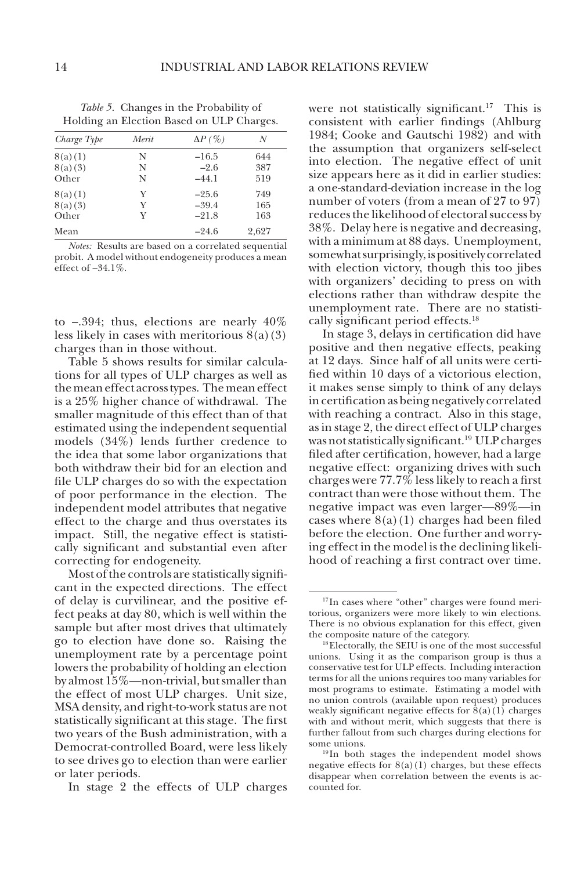| Trong an Encendri Based on CEI Ginnges. |       |                |       |  |  |  |
|-----------------------------------------|-------|----------------|-------|--|--|--|
| Charge Type                             | Merit | $\Delta P$ (%) | N     |  |  |  |
| 8(a)(1)                                 | N     | $-16.5$        | 644   |  |  |  |
| 8(a)(3)                                 | N     | $-2.6$         | 387   |  |  |  |
| Other                                   | N     | $-44.1$        | 519   |  |  |  |
| 8(a)(1)                                 | Y     | $-25.6$        | 749   |  |  |  |
| 8(a)(3)                                 | Y     | $-39.4$        | 165   |  |  |  |
| Other                                   | Y     | $-21.8$        | 163   |  |  |  |
| Mean                                    |       | $-24.6$        | 2.627 |  |  |  |

*Table 5.* Changes in the Probability of Holding an Election Based on ULP Charges.

*Notes:* Results are based on a correlated sequential probit. A model without endogeneity produces a mean effect of –34.1%.

to  $-.394$ ; thus, elections are nearly  $40\%$ less likely in cases with meritorious  $8(a)(3)$ charges than in those without.

Table 5 shows results for similar calculations for all types of ULP charges as well as the mean effect across types. The mean effect is a 25% higher chance of withdrawal. The smaller magnitude of this effect than of that estimated using the independent sequential models (34%) lends further credence to the idea that some labor organizations that both withdraw their bid for an election and file ULP charges do so with the expectation of poor performance in the election. The independent model attributes that negative effect to the charge and thus overstates its impact. Still, the negative effect is statistically significant and substantial even after correcting for endogeneity.

Most of the controls are statistically significant in the expected directions. The effect of delay is curvilinear, and the positive effect peaks at day 80, which is well within the sample but after most drives that ultimately go to election have done so. Raising the unemployment rate by a percentage point lowers the probability of holding an election by almost 15%—non-trivial, but smaller than the effect of most ULP charges. Unit size, MSA density, and right-to-work status are not statistically significant at this stage. The first two years of the Bush administration, with a Democrat-controlled Board, were less likely to see drives go to election than were earlier or later periods.

In stage 2 the effects of ULP charges

were not statistically significant.<sup>17</sup> This is consistent with earlier findings (Ahlburg 1984; Cooke and Gautschi 1982) and with the assumption that organizers self-select into election. The negative effect of unit size appears here as it did in earlier studies: a one-standard-deviation increase in the log number of voters (from a mean of 27 to 97) reduces the likelihood of electoral success by 38%. Delay here is negative and decreasing, with a minimum at 88 days. Unemployment, somewhat surprisingly, is positively correlated with election victory, though this too jibes with organizers' deciding to press on with elections rather than withdraw despite the unemployment rate. There are no statistically significant period effects.18

In stage 3, delays in certification did have positive and then negative effects, peaking at 12 days. Since half of all units were certified within 10 days of a victorious election, it makes sense simply to think of any delays in certification as being negatively correlated with reaching a contract. Also in this stage, as in stage 2, the direct effect of ULP charges was not statistically significant.19 ULP charges filed after certification, however, had a large negative effect: organizing drives with such charges were 77.7% less likely to reach a first contract than were those without them. The negative impact was even larger—89%—in cases where  $8(a)(1)$  charges had been filed before the election. One further and worrying effect in the model is the declining likelihood of reaching a first contract over time.

<sup>&</sup>lt;sup>17</sup>In cases where "other" charges were found meritorious, organizers were more likely to win elections. There is no obvious explanation for this effect, given the composite nature of the category.

<sup>&</sup>lt;sup>18</sup>Electorally, the SEIU is one of the most successful unions. Using it as the comparison group is thus a conservative test for ULP effects. Including interaction terms for all the unions requires too many variables for most programs to estimate. Estimating a model with no union controls (available upon request) produces weakly significant negative effects for  $8(a)(1)$  charges with and without merit, which suggests that there is further fallout from such charges during elections for some unions.

<sup>&</sup>lt;sup>19</sup> In both stages the independent model shows negative effects for  $8(a)(1)$  charges, but these effects disappear when correlation between the events is accounted for.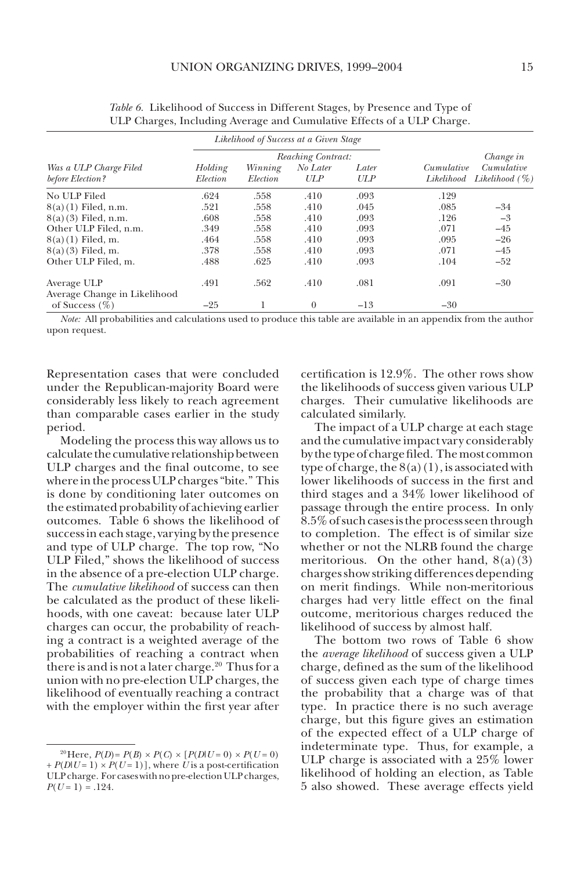|                                                   | Likelihood of Success at a Given Stage |                     |                 |              |                          |                                  |  |
|---------------------------------------------------|----------------------------------------|---------------------|-----------------|--------------|--------------------------|----------------------------------|--|
|                                                   | Reaching Contract:                     |                     |                 |              | Change in                |                                  |  |
| Was a ULP Charge Filed<br>before Election?        | Holding<br>Election                    | Winning<br>Election | No Later<br>ULP | Later<br>ULP | Cumulative<br>Likelihood | Cumulative<br>Likelihood $(\% )$ |  |
| No ULP Filed                                      | .624                                   | .558                | .410            | .093         | .129                     |                                  |  |
| $8(a)(1)$ Filed, n.m.                             | .521                                   | .558                | .410            | .045         | .085                     | $-34$                            |  |
| $8(a)(3)$ Filed, n.m.                             | .608                                   | .558                | .410            | .093         | .126                     | $-3$                             |  |
| Other ULP Filed, n.m.                             | .349                                   | .558                | .410            | .093         | .071                     | $-45$                            |  |
| $8(a)(1)$ Filed, m.                               | .464                                   | .558                | .410            | .093         | .095                     | $-26$                            |  |
| $8(a)(3)$ Filed, m.                               | .378                                   | .558                | .410            | .093         | .071                     | $-45$                            |  |
| Other ULP Filed, m.                               | .488                                   | .625                | .410            | .093         | .104                     | $-52$                            |  |
| Average ULP                                       | .491                                   | .562                | .410            | .081         | .091                     | $-30$                            |  |
| Average Change in Likelihood<br>of Success $(\%)$ | $-25$                                  |                     | $\theta$        | $-13$        | $-30$                    |                                  |  |

*Table 6.* Likelihood of Success in Different Stages, by Presence and Type of ULP Charges, Including Average and Cumulative Effects of a ULP Charge.

*Note:* All probabilities and calculations used to produce this table are available in an appendix from the author upon request.

Representation cases that were concluded under the Republican-majority Board were considerably less likely to reach agreement than comparable cases earlier in the study period.

Modeling the process this way allows us to calculate the cumulative relationship between ULP charges and the final outcome, to see where in the process ULP charges "bite." This is done by conditioning later outcomes on the estimated probability of achieving earlier outcomes. Table 6 shows the likelihood of success in each stage, varying by the presence and type of ULP charge. The top row, "No ULP Filed," shows the likelihood of success in the absence of a pre-election ULP charge. The *cumulative likelihood* of success can then be calculated as the product of these likelihoods, with one caveat: because later ULP charges can occur, the probability of reaching a contract is a weighted average of the probabilities of reaching a contract when there is and is not a later charge.<sup>20</sup> Thus for a union with no pre-election ULP charges, the likelihood of eventually reaching a contract with the employer within the first year after

certification is 12.9%. The other rows show the likelihoods of success given various ULP charges. Their cumulative likelihoods are calculated similarly.

The impact of a ULP charge at each stage and the cumulative impact vary considerably by the type of charge filed. The most common type of charge, the  $8(a)(1)$ , is associated with lower likelihoods of success in the first and third stages and a 34% lower likelihood of passage through the entire process. In only 8.5% of such cases is the process seen through to completion. The effect is of similar size whether or not the NLRB found the charge meritorious. On the other hand,  $8(a)(3)$ charges show striking differences depending on merit findings. While non-meritorious charges had very little effect on the final outcome, meritorious charges reduced the likelihood of success by almost half.

The bottom two rows of Table 6 show the *average likelihood* of success given a ULP charge, defined as the sum of the likelihood of success given each type of charge times the probability that a charge was of that type. In practice there is no such average charge, but this figure gives an estimation of the expected effect of a ULP charge of indeterminate type. Thus, for example, a ULP charge is associated with a 25% lower likelihood of holding an election, as Table 5 also showed. These average effects yield

<sup>&</sup>lt;sup>20</sup>Here, *P*(*D*)= *P*(*B*) × *P*(*C*) × [*P*(*D*|*U* = 0) × *P*(*U* = 0)  $+ P(D|U = 1) \times P(U = 1)$ , where *U* is a post-certification ULP charge. For cases with no pre-election ULP charges,  $P(U=1) = .124$ .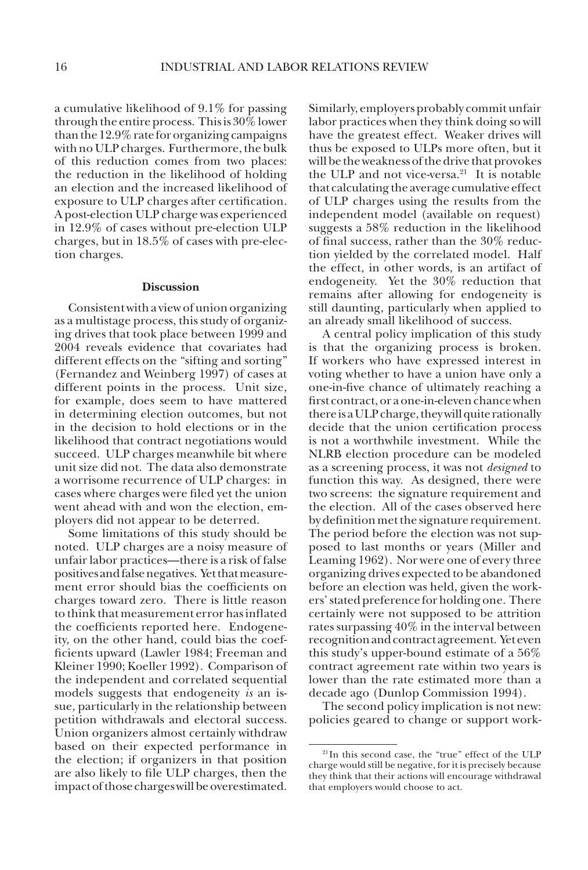a cumulative likelihood of 9.1% for passing through the entire process. This is 30% lower than the 12.9% rate for organizing campaigns with no ULP charges. Furthermore, the bulk of this reduction comes from two places: the reduction in the likelihood of holding an election and the increased likelihood of exposure to ULP charges after certification. A post-election ULP charge was experienced in 12.9% of cases without pre-election ULP charges, but in 18.5% of cases with pre-election charges.

#### **Discussion**

Consistent with a view of union organizing as a multistage process, this study of organizing drives that took place between 1999 and 2004 reveals evidence that covariates had different effects on the "sifting and sorting" (Fernandez and Weinberg 1997) of cases at different points in the process. Unit size, for example, does seem to have mattered in determining election outcomes, but not in the decision to hold elections or in the likelihood that contract negotiations would succeed. ULP charges meanwhile bit where unit size did not. The data also demonstrate a worrisome recurrence of ULP charges: in cases where charges were filed yet the union went ahead with and won the election, employers did not appear to be deterred.

Some limitations of this study should be noted. ULP charges are a noisy measure of unfair labor practices—there is a risk of false positives and false negatives. Yet that measurement error should bias the coefficients on charges toward zero. There is little reason to think that measurement error has inflated the coefficients reported here. Endogeneity, on the other hand, could bias the coefficients upward (Lawler 1984; Freeman and Kleiner 1990; Koeller 1992). Comparison of the independent and correlated sequential models suggests that endogeneity *is* an issue, particularly in the relationship between petition withdrawals and electoral success. Union organizers almost certainly withdraw based on their expected performance in the election; if organizers in that position are also likely to file ULP charges, then the impact of those charges will be overestimated.

Similarly, employers probably commit unfair labor practices when they think doing so will have the greatest effect. Weaker drives will thus be exposed to ULPs more often, but it will be the weakness of the drive that provokes the ULP and not vice-versa.<sup>21</sup> It is notable that calculating the average cumulative effect of ULP charges using the results from the independent model (available on request) suggests a 58% reduction in the likelihood of final success, rather than the 30% reduction yielded by the correlated model. Half the effect, in other words, is an artifact of endogeneity. Yet the 30% reduction that remains after allowing for endogeneity is still daunting, particularly when applied to an already small likelihood of success.

A central policy implication of this study is that the organizing process is broken. If workers who have expressed interest in voting whether to have a union have only a one-in-five chance of ultimately reaching a first contract, or a one-in-eleven chance when there is a ULP charge, they will quite rationally decide that the union certification process is not a worthwhile investment. While the NLRB election procedure can be modeled as a screening process, it was not *designed* to function this way. As designed, there were two screens: the signature requirement and the election. All of the cases observed here by definition met the signature requirement. The period before the election was not supposed to last months or years (Miller and Leaming 1962). Nor were one of every three organizing drives expected to be abandoned before an election was held, given the workers' stated preference for holding one. There certainly were not supposed to be attrition rates surpassing 40% in the interval between recognition and contract agreement. Yet even this study's upper-bound estimate of a 56% contract agreement rate within two years is lower than the rate estimated more than a decade ago (Dunlop Commission 1994).

The second policy implication is not new: policies geared to change or support work-

<sup>21</sup> In this second case, the "true" effect of the ULP charge would still be negative, for it is precisely because they think that their actions will encourage withdrawal that employers would choose to act.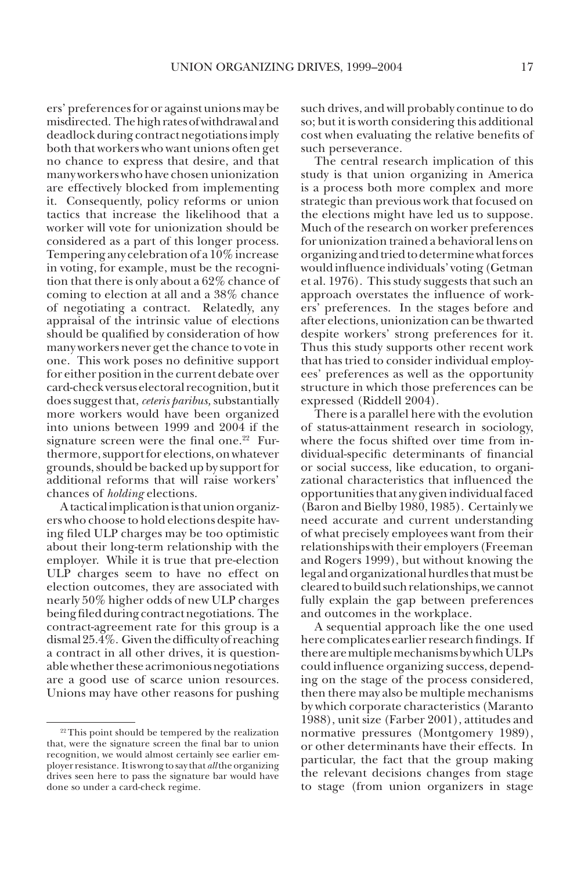ers' preferences for or against unions may be misdirected. The high rates of withdrawal and deadlock during contract negotiations imply both that workers who want unions often get no chance to express that desire, and that many workers who have chosen unionization are effectively blocked from implementing it. Consequently, policy reforms or union tactics that increase the likelihood that a worker will vote for unionization should be considered as a part of this longer process. Tempering any celebration of a 10% increase in voting, for example, must be the recognition that there is only about a 62% chance of coming to election at all and a 38% chance of negotiating a contract. Relatedly, any appraisal of the intrinsic value of elections should be qualified by consideration of how many workers never get the chance to vote in one. This work poses no definitive support for either position in the current debate over card-check versus electoral recognition, but it does suggest that, *ceteris paribus,* substantially more workers would have been organized into unions between 1999 and 2004 if the signature screen were the final one. $22$  Furthermore, support for elections, on whatever grounds, should be backed up by support for additional reforms that will raise workers' chances of *holding* elections.

A tactical implication is that union organizers who choose to hold elections despite having filed ULP charges may be too optimistic about their long-term relationship with the employer. While it is true that pre-election ULP charges seem to have no effect on election outcomes, they are associated with nearly 50% higher odds of new ULP charges being filed during contract negotiations. The contract-agreement rate for this group is a dismal 25.4%. Given the difficulty of reaching a contract in all other drives, it is questionable whether these acrimonious negotiations are a good use of scarce union resources. Unions may have other reasons for pushing

such drives, and will probably continue to do so; but it is worth considering this additional cost when evaluating the relative benefits of such perseverance.

The central research implication of this study is that union organizing in America is a process both more complex and more strategic than previous work that focused on the elections might have led us to suppose. Much of the research on worker preferences for unionization trained a behavioral lens on organizing and tried to determine what forces would influence individuals' voting (Getman et al. 1976). This study suggests that such an approach overstates the influence of workers' preferences. In the stages before and after elections, unionization can be thwarted despite workers' strong preferences for it. Thus this study supports other recent work that has tried to consider individual employees' preferences as well as the opportunity structure in which those preferences can be expressed (Riddell 2004).

There is a parallel here with the evolution of status-attainment research in sociology, where the focus shifted over time from individual-specific determinants of financial or social success, like education, to organizational characteristics that influenced the opportunities that any given individual faced (Baron and Bielby 1980, 1985). Certainly we need accurate and current understanding of what precisely employees want from their relationships with their employers (Freeman and Rogers 1999), but without knowing the legal and organizational hurdles that must be cleared to build such relationships, we cannot fully explain the gap between preferences and outcomes in the workplace.

A sequential approach like the one used here complicates earlier research findings. If there are multiple mechanisms by which ULPs could influence organizing success, depending on the stage of the process considered, then there may also be multiple mechanisms by which corporate characteristics (Maranto 1988), unit size (Farber 2001), attitudes and normative pressures (Montgomery 1989), or other determinants have their effects. In particular, the fact that the group making the relevant decisions changes from stage to stage (from union organizers in stage

<sup>&</sup>lt;sup>22</sup> This point should be tempered by the realization that, were the signature screen the final bar to union recognition, we would almost certainly see earlier employer resistance. It is wrong to say that *all* the organizing drives seen here to pass the signature bar would have done so under a card-check regime.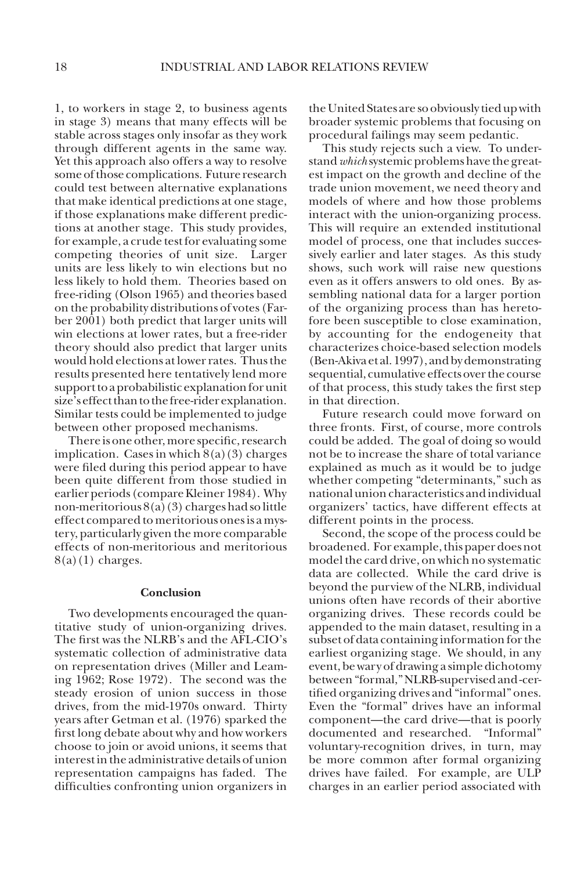1, to workers in stage 2, to business agents in stage 3) means that many effects will be stable across stages only insofar as they work through different agents in the same way. Yet this approach also offers a way to resolve some of those complications. Future research could test between alternative explanations that make identical predictions at one stage, if those explanations make different predictions at another stage. This study provides, for example, a crude test for evaluating some competing theories of unit size. Larger units are less likely to win elections but no less likely to hold them. Theories based on free-riding (Olson 1965) and theories based on the probability distributions of votes (Farber 2001) both predict that larger units will win elections at lower rates, but a free-rider theory should also predict that larger units would hold elections at lower rates. Thus the results presented here tentatively lend more support to a probabilistic explanation for unit size's effect than to the free-rider explanation. Similar tests could be implemented to judge between other proposed mechanisms.

There is one other, more specific, research implication. Cases in which  $8(a)(3)$  charges were filed during this period appear to have been quite different from those studied in earlier periods (compare Kleiner 1984). Why non-meritorious 8(a)(3) charges had so little effect compared to meritorious ones is a mystery, particularly given the more comparable effects of non-meritorious and meritorious  $8(a)(1)$  charges.

## **Conclusion**

Two developments encouraged the quantitative study of union-organizing drives. The first was the NLRB's and the AFL-CIO's systematic collection of administrative data on representation drives (Miller and Leaming 1962; Rose 1972). The second was the steady erosion of union success in those drives, from the mid-1970s onward. Thirty years after Getman et al. (1976) sparked the first long debate about why and how workers choose to join or avoid unions, it seems that interest in the administrative details of union representation campaigns has faded. The difficulties confronting union organizers in

the United States are so obviously tied up with broader systemic problems that focusing on procedural failings may seem pedantic.

This study rejects such a view. To understand *which* systemic problems have the greatest impact on the growth and decline of the trade union movement, we need theory and models of where and how those problems interact with the union-organizing process. This will require an extended institutional model of process, one that includes successively earlier and later stages. As this study shows, such work will raise new questions even as it offers answers to old ones. By assembling national data for a larger portion of the organizing process than has heretofore been susceptible to close examination, by accounting for the endogeneity that characterizes choice-based selection models (Ben-Akiva et al. 1997), and by demonstrating sequential, cumulative effects over the course of that process, this study takes the first step in that direction.

Future research could move forward on three fronts. First, of course, more controls could be added. The goal of doing so would not be to increase the share of total variance explained as much as it would be to judge whether competing "determinants," such as national union characteristics and individual organizers' tactics, have different effects at different points in the process.

Second, the scope of the process could be broadened. For example, this paper does not model the card drive, on which no systematic data are collected. While the card drive is beyond the purview of the NLRB, individual unions often have records of their abortive organizing drives. These records could be appended to the main dataset, resulting in a subset of data containing information for the earliest organizing stage. We should, in any event, be wary of drawing a simple dichotomy between "formal," NLRB-supervised and -certified organizing drives and "informal" ones. Even the "formal" drives have an informal component—the card drive—that is poorly documented and researched. "Informal" voluntary-recognition drives, in turn, may be more common after formal organizing drives have failed. For example, are ULP charges in an earlier period associated with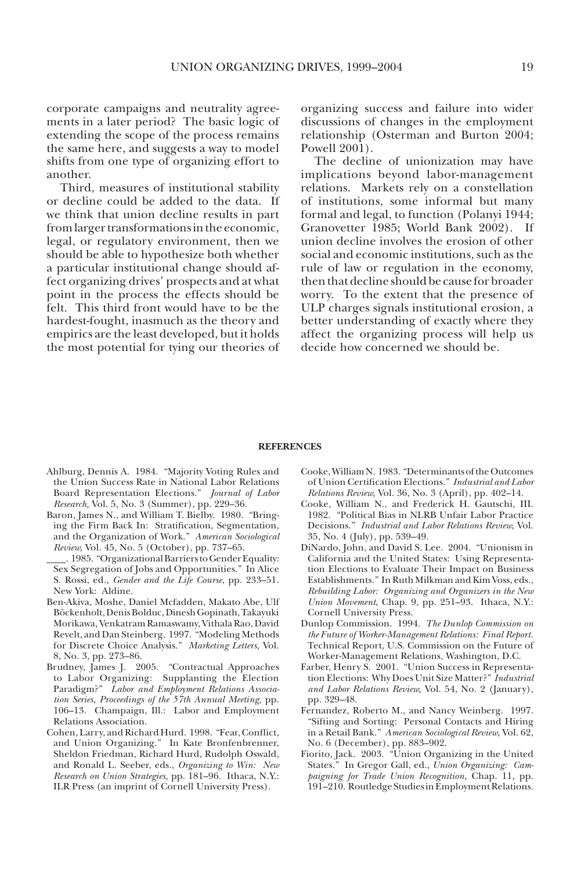corporate campaigns and neutrality agreements in a later period? The basic logic of extending the scope of the process remains the same here, and suggests a way to model shifts from one type of organizing effort to another.

Third, measures of institutional stability or decline could be added to the data. If we think that union decline results in part from larger transformations in the economic, legal, or regulatory environment, then we should be able to hypothesize both whether a particular institutional change should affect organizing drives' prospects and at what point in the process the effects should be felt. This third front would have to be the hardest-fought, inasmuch as the theory and empirics are the least developed, but it holds the most potential for tying our theories of organizing success and failure into wider discussions of changes in the employment relationship (Osterman and Burton 2004; Powell 2001).

The decline of unionization may have implications beyond labor-management relations. Markets rely on a constellation of institutions, some informal but many formal and legal, to function (Polanyi 1944; Granovetter 1985; World Bank 2002). If union decline involves the erosion of other social and economic institutions, such as the rule of law or regulation in the economy, then that decline should be cause for broader worry. To the extent that the presence of ULP charges signals institutional erosion, a better understanding of exactly where they affect the organizing process will help us decide how concerned we should be.

#### **REFERENCES**

- Ahlburg, Dennis A. 1984. "Majority Voting Rules and the Union Success Rate in National Labor Relations Board Representation Elections." *Journal of Labor Research,* Vol. 5, No. 3 (Summer), pp. 229–36.
- Baron, James N., and William T. Bielby. 1980. "Bringing the Firm Back In: Stratification, Segmentation, and the Organization of Work." *American Sociological Review,* Vol. 45, No. 5 (October), pp. 737–65.
- \_\_\_\_. 1985. "Organizational Barriers to Gender Equality: Sex Segregation of Jobs and Opportunities." In Alice S. Rossi, ed., *Gender and the Life Course*, pp. 233–51. New York: Aldine.
- Ben-Akiva, Moshe, Daniel Mcfadden, Makato Abe, Ulf Böckenholt, Denis Bolduc, Dinesh Gopinath, Takayuki Morikawa, Venkatram Ramaswamy, Vithala Rao, David Revelt, and Dan Steinberg. 1997. "Modeling Methods for Discrete Choice Analysis." *Marketing Letters,* Vol. 8, No. 3, pp. 273–86.
- Brudney, James J. 2005. "Contractual Approaches to Labor Organizing: Supplanting the Election Paradigm?" *Labor and Employment Relations Association Series, Proceedings of the 57th Annual Meeting,* pp. 106–13. Champaign, Ill.: Labor and Employment Relations Association.
- Cohen, Larry, and Richard Hurd. 1998. "Fear, Conflict, and Union Organizing." In Kate Bronfenbrenner, Sheldon Friedman, Richard Hurd, Rudolph Oswald, and Ronald L. Seeber, eds., *Organizing to Win: New Research on Union Strategies,* pp. 181–96. Ithaca, N.Y.: ILR Press (an imprint of Cornell University Press).
- Cooke, William N. 1983. "Determinants of the Outcomes of Union Certification Elections." *Industrial and Labor Relations Review,* Vol. 36, No. 3 (April), pp. 402–14.
- Cooke, William N., and Frederick H. Gautschi, III. 1982. "Political Bias in NLRB Unfair Labor Practice Decisions." *Industrial and Labor Relations Review,* Vol. 35, No. 4 (July), pp. 539–49.
- DiNardo, John, and David S. Lee. 2004. "Unionism in California and the United States: Using Representation Elections to Evaluate Their Impact on Business Establishments." In Ruth Milkman and Kim Voss, eds., *Rebuilding Labor: Organizing and Organizers in the New Union Movement*, Chap. 9, pp. 251–93. Ithaca, N.Y.: Cornell University Press.
- Dunlop Commission. 1994. *The Dunlop Commission on the Future of Worker-Management Relations: Final Report.* Technical Report, U.S. Commission on the Future of Worker-Management Relations, Washington, D.C.
- Farber, Henry S. 2001. "Union Success in Representation Elections: Why Does Unit Size Matter?" *Industrial and Labor Relations Review,* Vol. 54, No. 2 (January), pp. 329–48.
- Fernandez, Roberto M., and Nancy Weinberg. 1997. "Sifting and Sorting: Personal Contacts and Hiring in a Retail Bank." *American Sociological Review,* Vol. 62, No. 6 (December), pp. 883–902.
- Fiorito, Jack. 2003. "Union Organizing in the United States." In Gregor Gall, ed., *Union Organizing: Campaigning for Trade Union Recognition,* Chap. 11, pp. 191–210. Routledge Studies in Employment Relations.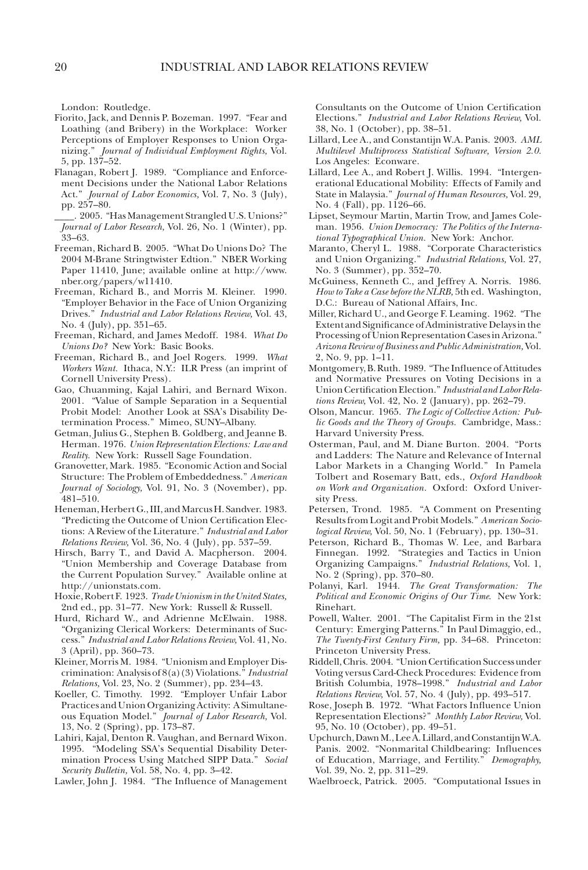London: Routledge.

- Fiorito, Jack, and Dennis P. Bozeman. 1997. "Fear and Loathing (and Bribery) in the Workplace: Worker Perceptions of Employer Responses to Union Organizing." *Journal of Individual Employment Rights,* Vol. 5, pp. 137–52.
- Flanagan, Robert J. 1989. "Compliance and Enforcement Decisions under the National Labor Relations Act." *Journal of Labor Economics,* Vol. 7, No. 3 (July), pp. 257–80.
- \_\_\_\_. 2005. "Has Management Strangled U.S. Unions?" *Journal of Labor Research,* Vol. 26, No. 1 (Winter), pp. 33–63.
- Freeman, Richard B. 2005. "What Do Unions Do? The 2004 M-Brane Stringtwister Edtion." NBER Working Paper 11410, June; available online at http://www. nber.org/papers/w11410.
- Freeman, Richard B., and Morris M. Kleiner. 1990. "Employer Behavior in the Face of Union Organizing Drives." *Industrial and Labor Relations Review,* Vol. 43, No. 4 (July), pp. 351–65.
- Freeman, Richard, and James Medoff. 1984. *What Do Unions Do?* New York: Basic Books.
- Freeman, Richard B., and Joel Rogers. 1999. *What Workers Want.* Ithaca, N.Y.: ILR Press (an imprint of Cornell University Press).
- Gao, Chuanming, Kajal Lahiri, and Bernard Wixon. 2001. "Value of Sample Separation in a Sequential Probit Model: Another Look at SSA's Disability Determination Process." Mimeo, SUNY–Albany.
- Getman, Julius G., Stephen B. Goldberg, and Jeanne B. Herman. 1976. *Union Representation Elections: Law and Reality.* New York: Russell Sage Foundation.
- Granovetter, Mark. 1985. "Economic Action and Social Structure: The Problem of Embeddedness." *American Journal of Sociology,* Vol. 91, No. 3 (November), pp. 481–510.
- Heneman, Herbert G., III, and Marcus H. Sandver. 1983. "Predicting the Outcome of Union Certification Elections: A Review of the Literature." *Industrial and Labor Relations Review,* Vol. 36, No. 4 (July), pp. 537–59.
- Hirsch, Barry T., and David A. Macpherson. 2004. "Union Membership and Coverage Database from the Current Population Survey." Available online at http://unionstats.com.
- Hoxie, Robert F. 1923. *Trade Unionism in the United States,* 2nd ed., pp. 31–77. New York: Russell & Russell.
- Hurd, Richard W., and Adrienne McElwain. 1988. "Organizing Clerical Workers: Determinants of Success." *Industrial and Labor Relations Review,* Vol. 41, No. 3 (April), pp. 360–73.
- Kleiner, Morris M. 1984. "Unionism and Employer Discrimination: Analysis of 8(a)(3) Violations." *Industrial Relations,* Vol. 23, No. 2 (Summer), pp. 234–43.
- Koeller, C. Timothy. 1992. "Employer Unfair Labor Practices and Union Organizing Activity: A Simultaneous Equation Model." *Journal of Labor Research,* Vol. 13, No. 2 (Spring), pp. 173–87.
- Lahiri, Kajal, Denton R. Vaughan, and Bernard Wixon. 1995. "Modeling SSA's Sequential Disability Determination Process Using Matched SIPP Data." *Social Security Bulletin,* Vol. 58, No. 4, pp. 3–42.

Lawler, John J. 1984. "The Influence of Management

Consultants on the Outcome of Union Certification Elections." *Industrial and Labor Relations Review,* Vol. 38, No. 1 (October), pp. 38–51.

- Lillard, Lee A., and Constantijn W.A. Panis. 2003. *AML Multilevel Multiprocess Statistical Software, Version 2.0.* Los Angeles: Econware.
- Lillard, Lee A., and Robert J. Willis. 1994. "Intergenerational Educational Mobility: Effects of Family and State in Malaysia." *Journal of Human Resources,* Vol. 29, No. 4 (Fall), pp. 1126–66.
- Lipset, Seymour Martin, Martin Trow, and James Coleman. 1956. *Union Democracy: The Politics of the International Typographical Union.* New York: Anchor.
- Maranto, Cheryl L. 1988. "Corporate Characteristics and Union Organizing." *Industrial Relations,* Vol. 27, No. 3 (Summer), pp. 352–70.
- McGuiness, Kenneth C., and Jeffrey A. Norris. 1986. *How to Take a Case before the NLRB,* 5th ed. Washington, D.C.: Bureau of National Affairs, Inc.
- Miller, Richard U., and George F. Leaming. 1962. "The Extent and Significance of Administrative Delays in the Processing of Union Representation Cases in Arizona." *Arizona Review of Business and Public Administration,* Vol. 2, No. 9, pp. 1–11.
- Montgomery, B. Ruth. 1989. "The Influence of Attitudes and Normative Pressures on Voting Decisions in a Union Certification Election." *Industrial and Labor Relations Review,* Vol. 42, No. 2 (January), pp. 262–79.
- Olson, Mancur. 1965. *The Logic of Collective Action: Public Goods and the Theory of Groups.* Cambridge, Mass.: Harvard University Press.
- Osterman, Paul, and M. Diane Burton. 2004. "Ports and Ladders: The Nature and Relevance of Internal Labor Markets in a Changing World." In Pamela Tolbert and Rosemary Batt, eds., *Oxford Handbook on Work and Organization.* Oxford: Oxford University Press.
- Petersen, Trond. 1985. "A Comment on Presenting Results from Logit and Probit Models." *American Sociological Review,* Vol. 50, No. 1 (February), pp. 130–31.
- Peterson, Richard B., Thomas W. Lee, and Barbara Finnegan. 1992. "Strategies and Tactics in Union Organizing Campaigns." *Industrial Relations,* Vol. 1, No. 2 (Spring), pp. 370–80.
- Polanyi, Karl. 1944. *The Great Transformation: The Political and Economic Origins of Our Time*. New York: Rinehart.
- Powell, Walter. 2001. "The Capitalist Firm in the 21st Century: Emerging Patterns." In Paul Dimaggio, ed., *The Twenty-First Century Firm,* pp. 34–68. Princeton: Princeton University Press.
- Riddell, Chris. 2004. "Union Certification Success under Voting versus Card-Check Procedures: Evidence from British Columbia, 1978–1998." *Industrial and Labor Relations Review,* Vol. 57, No. 4 (July), pp. 493–517.
- Rose, Joseph B. 1972. "What Factors Influence Union Representation Elections?" *Monthly Labor Review,* Vol. 95, No. 10 (October), pp. 49–51.
- Upchurch, Dawn M., Lee A. Lillard, and Constantijn W.A. Panis. 2002. "Nonmarital Childbearing: Influences of Education, Marriage, and Fertility." *Demography,* Vol. 39, No. 2, pp. 311–29.
- Waelbroeck, Patrick. 2005. "Computational Issues in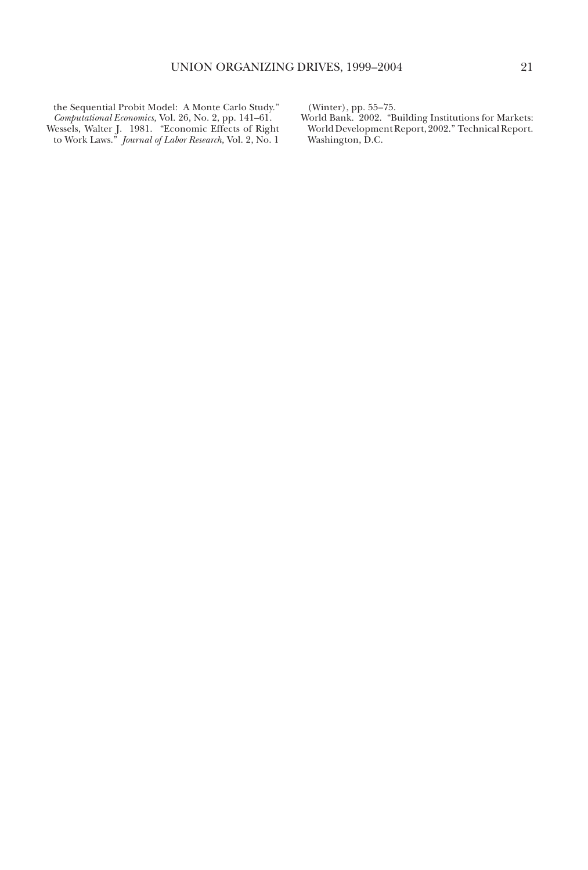the Sequential Probit Model: A Monte Carlo Study." *Computational Economics,* Vol. 26, No. 2, pp. 141–61. Wessels, Walter J. 1981. "Economic Effects of Right to Work Laws." *Journal of Labor Research,* Vol. 2, No. 1 (Winter), pp. 55–75.

World Bank. 2002. "Building Institutions for Markets: World Development Report, 2002." Technical Report. Washington, D.C.